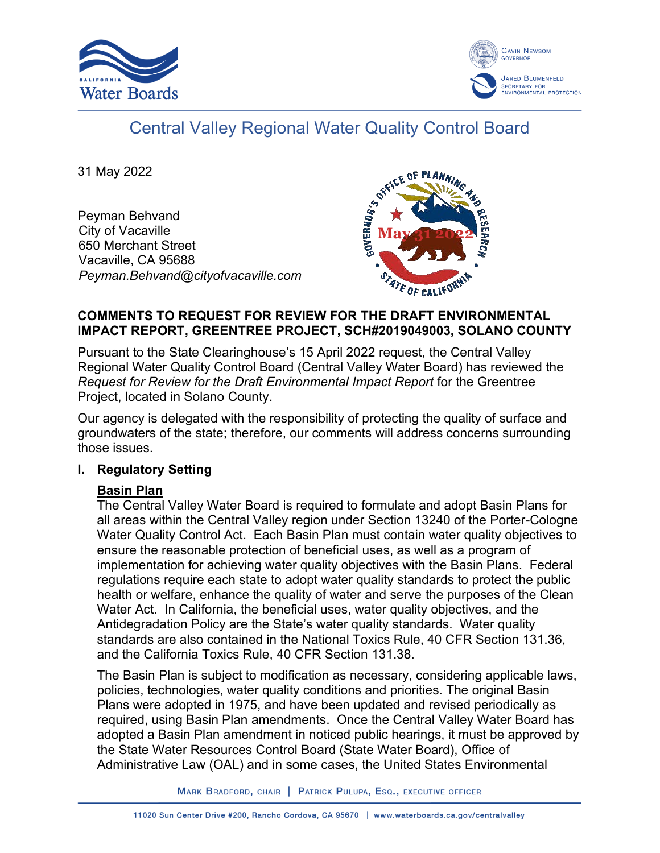



# Central Valley Regional Water Quality Control Board

31 May 2022

Peyman Behvand City of Vacaville 650 Merchant Street Vacaville, CA 95688 *Peyman.Behvand@cityofvacaville.com*



#### **COMMENTS TO REQUEST FOR REVIEW FOR THE DRAFT ENVIRONMENTAL IMPACT REPORT, GREENTREE PROJECT, SCH#2019049003, SOLANO COUNTY**

Pursuant to the State Clearinghouse's 15 April 2022 request, the Central Valley Regional Water Quality Control Board (Central Valley Water Board) has reviewed the *Request for Review for the Draft Environmental Impact Report* for the Greentree Project, located in Solano County.

Our agency is delegated with the responsibility of protecting the quality of surface and groundwaters of the state; therefore, our comments will address concerns surrounding those issues.

# **I. Regulatory Setting**

# **Basin Plan**

The Central Valley Water Board is required to formulate and adopt Basin Plans for all areas within the Central Valley region under Section 13240 of the Porter-Cologne Water Quality Control Act. Each Basin Plan must contain water quality objectives to ensure the reasonable protection of beneficial uses, as well as a program of implementation for achieving water quality objectives with the Basin Plans. Federal regulations require each state to adopt water quality standards to protect the public health or welfare, enhance the quality of water and serve the purposes of the Clean Water Act. In California, the beneficial uses, water quality objectives, and the Antidegradation Policy are the State's water quality standards. Water quality standards are also contained in the National Toxics Rule, 40 CFR Section 131.36, and the California Toxics Rule, 40 CFR Section 131.38.

The Basin Plan is subject to modification as necessary, considering applicable laws, policies, technologies, water quality conditions and priorities. The original Basin Plans were adopted in 1975, and have been updated and revised periodically as required, using Basin Plan amendments. Once the Central Valley Water Board has adopted a Basin Plan amendment in noticed public hearings, it must be approved by the State Water Resources Control Board (State Water Board), Office of Administrative Law (OAL) and in some cases, the United States Environmental

MARK BRADFORD, CHAIR | PATRICK PULUPA, ESQ., EXECUTIVE OFFICER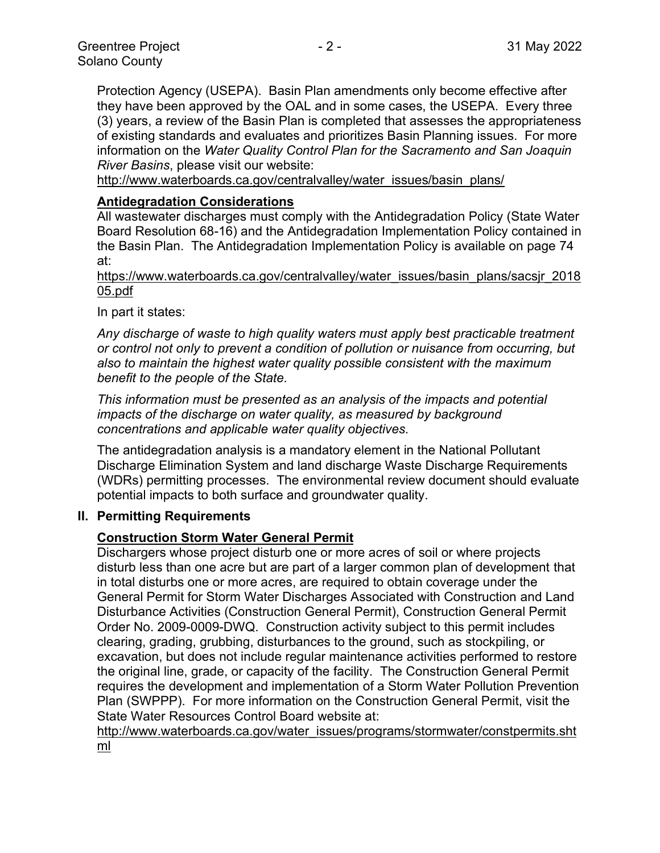Protection Agency (USEPA). Basin Plan amendments only become effective after they have been approved by the OAL and in some cases, the USEPA. Every three (3) years, a review of the Basin Plan is completed that assesses the appropriateness of existing standards and evaluates and prioritizes Basin Planning issues. For more information on the *Water Quality Control Plan for the Sacramento and San Joaquin River Basins*, please visit our website:

[http://www.waterboards.ca.gov/centralvalley/water\\_issues/basin\\_plans/](http://www.waterboards.ca.gov/centralvalley/water_issues/basin_plans/)

#### **Antidegradation Considerations**

All wastewater discharges must comply with the Antidegradation Policy (State Water Board Resolution 68-16) and the Antidegradation Implementation Policy contained in the Basin Plan. The Antidegradation Implementation Policy is available on page 74 at:

https://www.waterboards.ca.gov/centralvalley/water\_issues/basin\_plans/sacsjr\_2018 05.pdf

In part it states:

*Any discharge of waste to high quality waters must apply best practicable treatment or control not only to prevent a condition of pollution or nuisance from occurring, but also to maintain the highest water quality possible consistent with the maximum benefit to the people of the State.*

*This information must be presented as an analysis of the impacts and potential impacts of the discharge on water quality, as measured by background concentrations and applicable water quality objectives.*

The antidegradation analysis is a mandatory element in the National Pollutant Discharge Elimination System and land discharge Waste Discharge Requirements (WDRs) permitting processes. The environmental review document should evaluate potential impacts to both surface and groundwater quality.

#### **II. Permitting Requirements**

# **Construction Storm Water General Permit**

Dischargers whose project disturb one or more acres of soil or where projects disturb less than one acre but are part of a larger common plan of development that in total disturbs one or more acres, are required to obtain coverage under the General Permit for Storm Water Discharges Associated with Construction and Land Disturbance Activities (Construction General Permit), Construction General Permit Order No. 2009-0009-DWQ. Construction activity subject to this permit includes clearing, grading, grubbing, disturbances to the ground, such as stockpiling, or excavation, but does not include regular maintenance activities performed to restore the original line, grade, or capacity of the facility. The Construction General Permit requires the development and implementation of a Storm Water Pollution Prevention Plan (SWPPP). For more information on the Construction General Permit, visit the State Water Resources Control Board website at:

[http://www.waterboards.ca.gov/water\\_issues/programs/stormwater/constpermits.sht](http://www.waterboards.ca.gov/water_issues/programs/stormwater/constpermits.shtml) [ml](http://www.waterboards.ca.gov/water_issues/programs/stormwater/constpermits.shtml)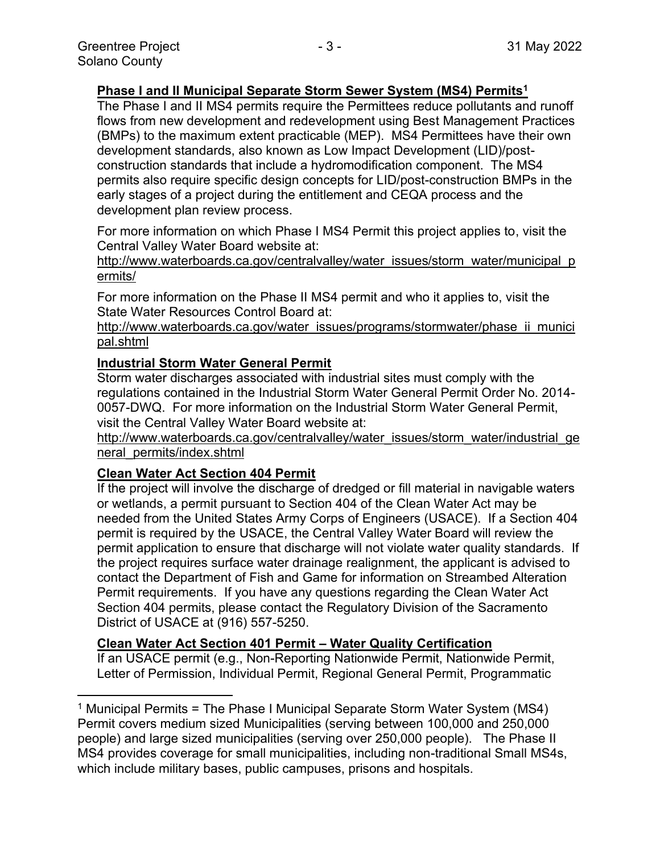# **Phase I and II Municipal Separate Storm Sewer System (MS4) Permits<sup>1</sup>**

The Phase I and II MS4 permits require the Permittees reduce pollutants and runoff flows from new development and redevelopment using Best Management Practices (BMPs) to the maximum extent practicable (MEP). MS4 Permittees have their own development standards, also known as Low Impact Development (LID)/postconstruction standards that include a hydromodification component. The MS4 permits also require specific design concepts for LID/post-construction BMPs in the early stages of a project during the entitlement and CEQA process and the development plan review process.

For more information on which Phase I MS4 Permit this project applies to, visit the Central Valley Water Board website at:

http://www.waterboards.ca.gov/centralvalley/water\_issues/storm\_water/municipal\_p ermits/

For more information on the Phase II MS4 permit and who it applies to, visit the State Water Resources Control Board at:

http://www.waterboards.ca.gov/water\_issues/programs/stormwater/phase\_ii\_munici pal.shtml

# **Industrial Storm Water General Permit**

Storm water discharges associated with industrial sites must comply with the regulations contained in the Industrial Storm Water General Permit Order No. 2014- 0057-DWQ. For more information on the Industrial Storm Water General Permit, visit the Central Valley Water Board website at:

http://www.waterboards.ca.gov/centralvalley/water\_issues/storm\_water/industrial\_ge neral\_permits/index.shtml

# **Clean Water Act Section 404 Permit**

If the project will involve the discharge of dredged or fill material in navigable waters or wetlands, a permit pursuant to Section 404 of the Clean Water Act may be needed from the United States Army Corps of Engineers (USACE). If a Section 404 permit is required by the USACE, the Central Valley Water Board will review the permit application to ensure that discharge will not violate water quality standards. If the project requires surface water drainage realignment, the applicant is advised to contact the Department of Fish and Game for information on Streambed Alteration Permit requirements. If you have any questions regarding the Clean Water Act Section 404 permits, please contact the Regulatory Division of the Sacramento District of USACE at (916) 557-5250.

#### **Clean Water Act Section 401 Permit – Water Quality Certification**

If an USACE permit (e.g., Non-Reporting Nationwide Permit, Nationwide Permit, Letter of Permission, Individual Permit, Regional General Permit, Programmatic

<sup>1</sup> Municipal Permits = The Phase I Municipal Separate Storm Water System (MS4) Permit covers medium sized Municipalities (serving between 100,000 and 250,000 people) and large sized municipalities (serving over 250,000 people). The Phase II MS4 provides coverage for small municipalities, including non-traditional Small MS4s, which include military bases, public campuses, prisons and hospitals.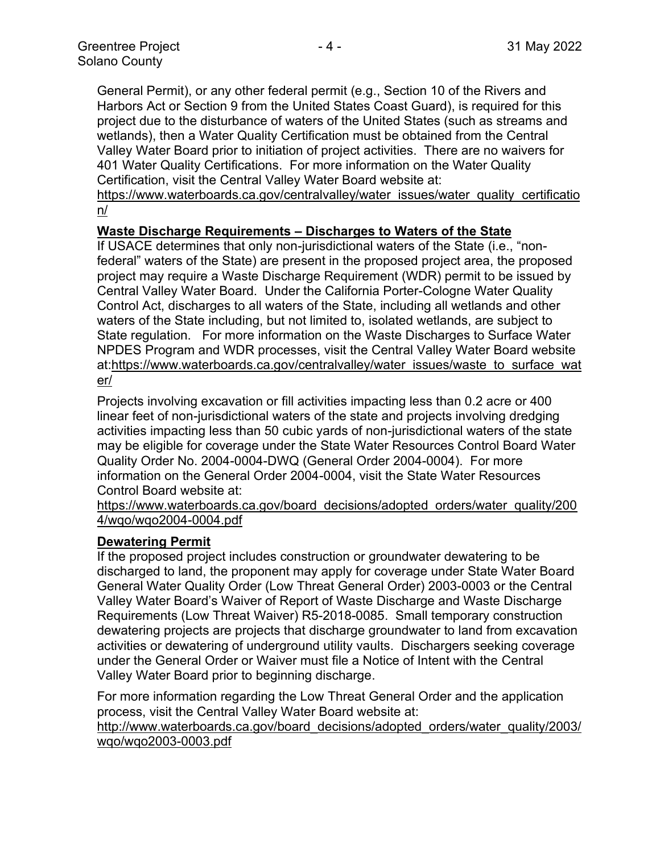General Permit), or any other federal permit (e.g., Section 10 of the Rivers and Harbors Act or Section 9 from the United States Coast Guard), is required for this project due to the disturbance of waters of the United States (such as streams and wetlands), then a Water Quality Certification must be obtained from the Central Valley Water Board prior to initiation of project activities. There are no waivers for 401 Water Quality Certifications. For more information on the Water Quality Certification, visit the Central Valley Water Board website at:

https://www.waterboards.ca.gov/centralvalley/water\_issues/water\_quality\_certificatio n/

#### **Waste Discharge Requirements – Discharges to Waters of the State**

If USACE determines that only non-jurisdictional waters of the State (i.e., "nonfederal" waters of the State) are present in the proposed project area, the proposed project may require a Waste Discharge Requirement (WDR) permit to be issued by Central Valley Water Board. Under the California Porter-Cologne Water Quality Control Act, discharges to all waters of the State, including all wetlands and other waters of the State including, but not limited to, isolated wetlands, are subject to State regulation. For more information on the Waste Discharges to Surface Water NPDES Program and WDR processes, visit the Central Valley Water Board website at:https://www.waterboards.ca.gov/centralvalley/water\_issues/waste\_to\_surface\_wat er/

Projects involving excavation or fill activities impacting less than 0.2 acre or 400 linear feet of non-jurisdictional waters of the state and projects involving dredging activities impacting less than 50 cubic yards of non-jurisdictional waters of the state may be eligible for coverage under the State Water Resources Control Board Water Quality Order No. 2004-0004-DWQ (General Order 2004-0004). For more information on the General Order 2004-0004, visit the State Water Resources Control Board website at:

https://www.waterboards.ca.gov/board\_decisions/adopted\_orders/water\_quality/200 4/wqo/wqo2004-0004.pdf

#### **Dewatering Permit**

If the proposed project includes construction or groundwater dewatering to be discharged to land, the proponent may apply for coverage under State Water Board General Water Quality Order (Low Threat General Order) 2003-0003 or the Central Valley Water Board's Waiver of Report of Waste Discharge and Waste Discharge Requirements (Low Threat Waiver) R5-2018-0085. Small temporary construction dewatering projects are projects that discharge groundwater to land from excavation activities or dewatering of underground utility vaults. Dischargers seeking coverage under the General Order or Waiver must file a Notice of Intent with the Central Valley Water Board prior to beginning discharge.

For more information regarding the Low Threat General Order and the application process, visit the Central Valley Water Board website at:

http://www.waterboards.ca.gov/board decisions/adopted orders/water quality/2003/ wqo/wqo2003-0003.pdf